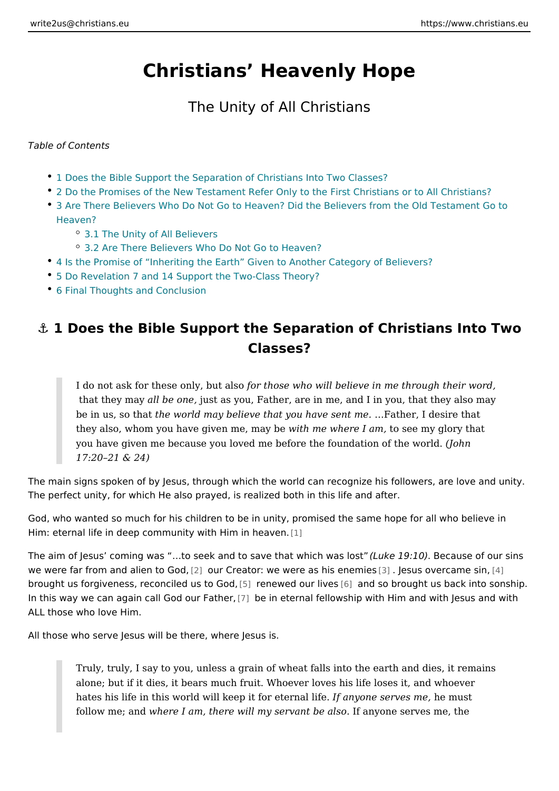# Christians Heavenly Hope

### The Unity of All Christians

Table of Contents

- 1 Does the Bible Support the Separation of Christians Into Two Classes?
- [2 Do the Promises of the New Testament Refer Only to the First C](#page-2-0)hristians or
- [3 Are There Believers Who Do Not Go to Heaven? Did the Believers f](#page-3-0)rom the [Heave](#page-3-0)n?
	- [3.1 The Unity of All](#page-3-0) Believers
	- [3.2 Are There Believers Who Do Not](#page-4-0) Go to Heaven?
- 4 Is the Promise of Inheriting the Earth Given to Another Category of Belie
- 5 Do Revelation 7 and 14 Support the Two-Class Theory?
- [6 Final Thoughts and C](#page-7-0)onclusion

# & 1 Does the Bible Support the Separation of Christians Classes?

I do not ask for these only orburtoses who will believe in me through their that they maldybe onest as you, Father, are in me, and I in you, that the be in us, sothheatworld may believe that you ha&weat ent, miedesire that they also, whom you have given whitch may where I tansee my glory that you have given me because you loved me before the fouddathion of the w 17:20 21 & 24)

The main signs spoken of by Jesus, through which the world can recognize his fo The perfect unity, for which He also prayed, is realized both in this life and afte

God, who wanted so much for his children to be in unity, promised the same hop Him: eternal life in deep community with [1] Him in heaven.

The aim of Jesus coming was & to seek and to save (Lhuakte wild incidibe was lowers befour single 19:10). we were far from and alie $\hat{z}$  toou G Codeator: we were as [his](#page-8-0)t euheesmuise sovercam@e sin, brought us forgiveness, reconcilらd wesneweGood,ur  $\sin v$  and so brought us back into so In this way we can again call G[od](#page-8-0) douerifia the mand fellowship with Him and with Jes ALL those who love Him.

All those who serve Jesus will be there, where Jesus is.

Truly, truly, I say to you, unless a grain of wheat falls into the earth ar alone; but if it dies, it bears much fruit. Whoever loves his life loses it hates his life in this world will keep it **If oane tearen as le thine is emme** ust follow me; whetre I am, there will my serval fitable coales os erves me, the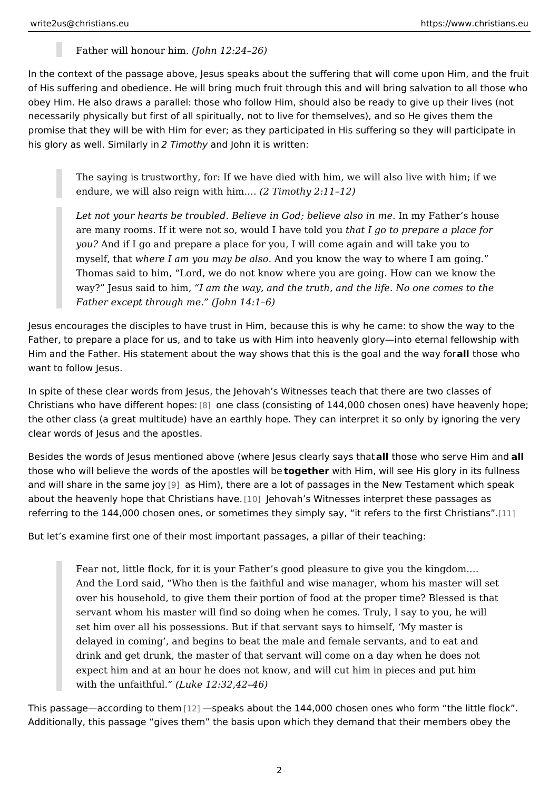Father will honou (John 12:24 26)

In the context of the passage above, Jesus speaks about the suffering that will of of His suffering and obedience. He will bring much fruit through this and will bri obey Him. He also draws a parallel: those who follow Him, should also be ready necessarily physically but first of all spiritually, not to live for themselves), and promise that they will be with Him for ever; as they participated in His suffering his glory as well. SimailTamiotham, d John it is written:

The saying is trustworthy, for: If we have died with him, we will also liv endure, we will also reign  $w(2$ hThmmothy 2:11 12)

Let not your hearts be troubled. Believe in God; Ibnehigy Feathseor isn hnouse are many rooms. If it were not so, would the ahta weget otled pyreeup are a place for you? And if I go and prepare a place for you, I will come again and will t myself, thwahtere I am you may benall you know the way to where I am going Thomas said to him, Lord, we do not know where you are going. How ca way? Jesus said to ahmimthe way, and the truth, and the life. No one com Father except throug(b) or me.  $14:1\;6$ )

Jesus encourages the disciples to have trust in Him, because this is why he cam Father, to prepare a place for us, and to take us with Him into heavenly glory in Him and the Father. His statement about the way shows that this as it those goval hoand want to follow Jesus.

In spite of these clear words from Jesus, the Jehovah s Witnesses teach that the Christians who have diffe[ren](#page-8-0)tohopels:  $s$  (consisting of 144,000 chosen ones) have the other class (a great multitude) have an earthly hope. They can interpret it so clear words of Jesus and the apostles.

Besides the words of Jesus mentioned above (where  $\det b$  is soelewahn by seeary se thing thil and those who will believe the words of the tage other willing will see His glory in its and will share in the \$pamas jubiym), there are a lot of passages in the New Testame about the heavenly hope that Ch[rist](#page-8-0)ian advanches Witnesses interpret these passag referring to the 144,000 chosen ones, or sometimes they simply say, i[t re](#page-8-0)fers to

But let s examine first one of their most important passages, a pillar of their tea

Fear not, little flock, for it is your Father s good pleasure to give you t And the Lord said, Who then is the faithful and wise manager, whom hi over his household, to give them their portion of food at the proper time servant whom his master will find so doing when he comes. Truly, I say set him over all his possessions. But if that servant says to himself, M delayed in coming, and begins to beat the male and female servants, a drink and get drunk, the master of that servant will come on a day when expect him and at an hour he does not know, and will cut him in pieces with the unfaith full the  $12:32,42,46$ )

This passage according  $\alpha$  the emaks about the 144,000 chosen ones who form the Additionally, this passage gives them the basis upon which they demand that the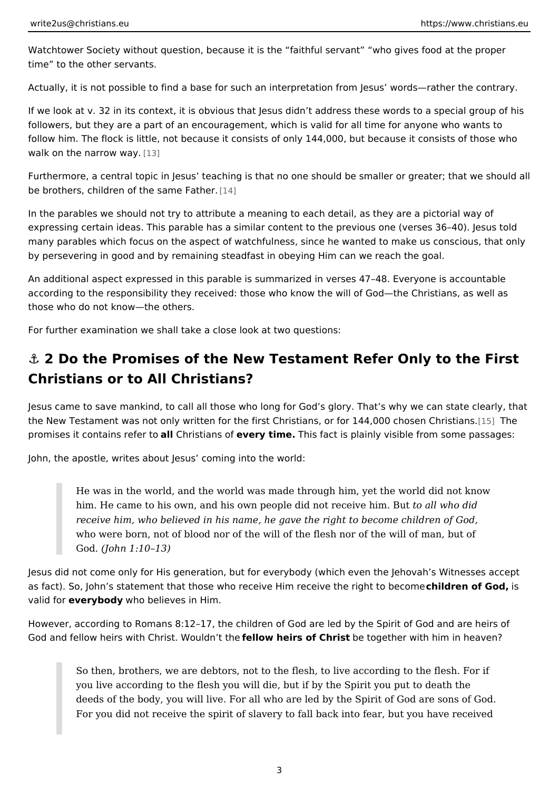<span id="page-2-0"></span>Watchtower Society without question, because it is the faithful servant who gi time to the other servants.

Actually, it is not possible to find a base for such an interpretation from Jesus

If we look at v. 32 in its context, it is obvious that Jesus didn t address these w followers, but they are a part of an encouragement, which is valid for all time fo follow him. The flock is little, not because it consists of only 144,000, but becau walk on the narrow  $3$ way.

Furthermore, a central topic in Jesus teaching is that no one should be smaller be brothers, children of the [sam](#page-8-0)e Father.

In the parables we should not try to attribute a meaning to each detail, as they a expressing certain ideas. This parable has a similar content to the previous one many parables which focus on the aspect of watchfulness, since he wanted to ma by persevering in good and by remaining steadfast in obeying Him can we reach

An additional aspect expressed in this parable is summarized in verses 47 48. E according to the responsibility they received: those who know the will of God the those who do not know the others.

For further examination we shall take a close look at two questions:

# $8$ " 2 Do the Promises of the New Testament Refer Only to Christians or to All Christians?

Jesus came to save mankind, to call all those who long for God s glory. That s w the New Testament was not only written for the first Christians, or for 5144,0000 c promises it contains an lecter ristaianse voe fry time. This fact is plainly visible from some p

John, the apostle, writes about Jesus coming into the world:

He was in the world, and the world was made through him, yet the world him. He came to his own, and his own people did ntoot and to dridm. But receive him, who believed in his name, he gave the right to become child who were born, not of blood nor of the will of the flesh nor of the will o God(John 1:10 13)

Jesus did not come only for His generation, but for everybody (which even the Jehovah s as fact). So, John s statement that those who receive Him recheilnderetheofrigibulto be valid fovery bod who believes in Him.

However, according to Romans 8:12 17, the children of God are led by the Spirit God and fellow heirs with Christ. feW loouw d metrs hef Chorestogether with him in heaven

So then, brothers, we are debtors, not to the flesh, to live according to you live according to the flesh you will die, but if by the Spirit you put deeds of the body, you will live. For all who are led by the Spirit of God For you did not receive the spirit of slavery to fall back into fear, but y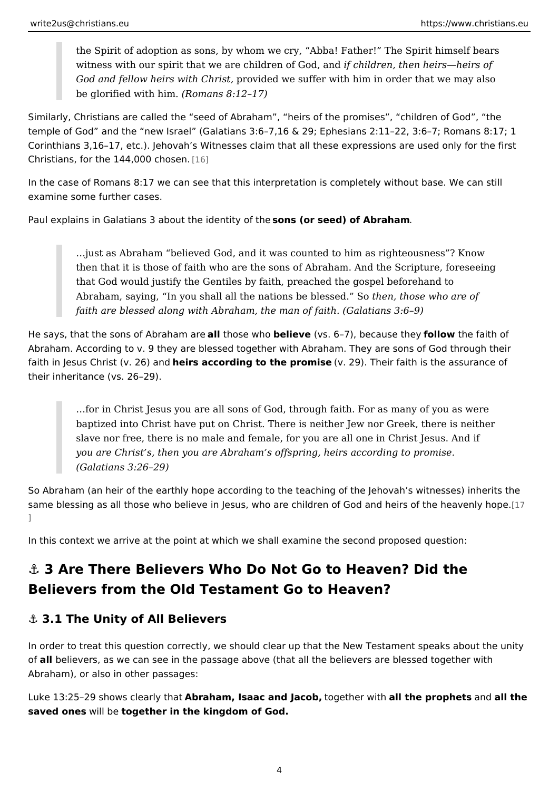<span id="page-3-0"></span>the Spirit of adoption as sons, by whom we cry, Abba! Father! The Spi witness with our spirit that we are child**renchildGend, anned** heirs heirs of God and fellow heirs with rothrid std we suffer with him in order that we ma be glorified with  $R$ ommans 8:12 17)

Similarly, Christians are called the seed of Abraham, heirs of the promises, temple of God and the new Israel (Galatians 3:6 7,16 & 29; Ephesians 2:11 22 Corinthians 3,16 17, etc.). Jehovah s Witnesses claim that all these expressions Christians, for the  $144,0000$  chosen.

In the case of Romans 8:17 we can see that this interpretation is completely wit examine some further cases.

Paul explains in Galatians 3 about the oindsen (birty see dtheof Abraham

&just as Abraham believed God, and it was counted to him as righteous then that it is those of faith who are the sons of Abraham. And the Scri that God would justify the Gentiles by faith, preached the gospel before Abraham, saying, In you shall all the nationtshebre, the hosssee of who S are of faith are blessed along with Abraham, the maniacristation  $9$ )

He says, that the sons of Abrithe me aw believ  $\phi$  vs. 6 7), becaus feolt hoew the faith of Abraham. According to v. 9 they are blessed together with Abraham. They are so faith in Jesus Christ (bei 26) a and rding to the promise). Their faith is the assuran their inheritance (vs. 26 29).

&for in Christ Jesus you are all sons of God, through faith. For as many baptized into Christ have put on Christ. There is neither Jew nor Greek slave nor free, there is no male and female, for you are all one in Chris you are Christ s, then you are Abraham s offspring, heirs according to promise. (Galatians 3:26 29)

So Abraham (an heir of the earthly hope according to the teaching of the Jehova same blessing as all those who believe in Jesus, who are children of God [and he  $\mathbb{I}$ 

In this context we arrive at the point at which we shall examine the second prop

&" 3 Are There Believers Who Do Not Go to Heaven? Did Believers from the Old Testament Go to Heaven?

&" 3.1 The Unity of All Believers

In order to treat this question correctly, we should clear up that the New Testam ofallbelievers, as we can see in the passage above (that all the believers are ble Abraham), or also in other passages:

Luke 13:25 29 shows cleAabring htah mat, Isaac and Jalocog be ther waild hthe propheent ns dall the saved onewill begether in the kingdom of God.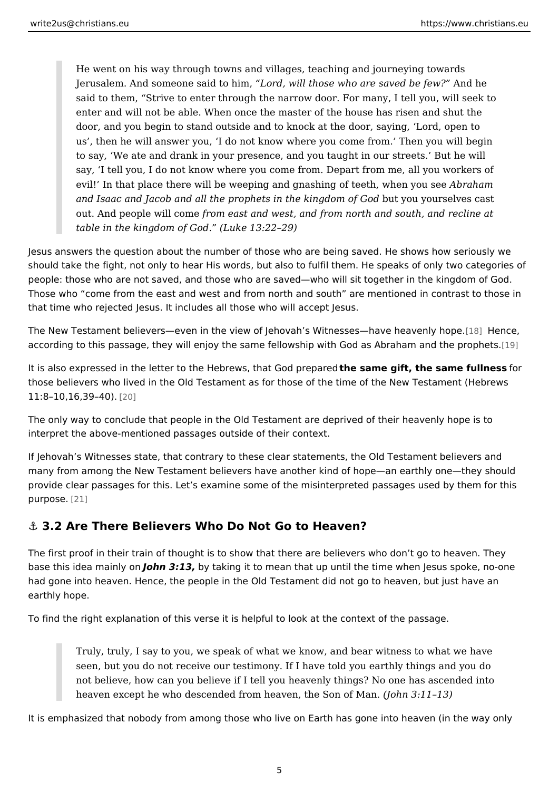<span id="page-4-0"></span>He went on his way through towns and villages, teaching and journeying Jerusalem. And someone saildoto, hwml, those who are saveAdnbeheew? said to them, Strive to enter through the narrow door. For many, I tell enter and will not be able. When once the master of the house has riser door, and you begin to stand outside and to knock at the door, saying, us, then he will answer you, I do not know where you come from. The to say, We ate and drank in your presence, and you taught in our stree say, I tell you, I do not know where you come from. Depart from me, all evil! In that place there will be weeping and gnashing of breaten when y and Isaac and Jacob and all the prophets in the ukiyngud oy mounts eG voets cast out. And people wilfrom east and west, and from north and south, and re table in the kingdom  $\notin \mathbb{G}$  keed. 13:22 29)

Jesus answers the question about the number of those who are being saved. He should take the fight, not only to hear His words, but also to fulfil them. He spe people: those who are not saved, and those who are saved who will sit together Those who come from the east and west and from north and south are mentione that time who rejected Jesus. It includes all those who will accept Jesus.

The New Testament believers even in the view of Jehovah s Witne[sse](#page-8-0)s Heam ceeheav according to this passage, they will enjoy the same fellowship with God as Abrah

It is also expressed in the letter to the HebrewsthethseatmGeogliptrepheeresdame fulldmess those believers who lived in the Old Testament as for those of the time of the New  $11:8$  10, 16, 39  $[20]$ .

The only way to conclude that people in the Old Testament are deprived of their interpret the above-mentioned passages outside of their context.

If Jehovah s Witnesses state, that contrary to these clear statements, the Old To many from among the New Testament believers have another kind of hope an ear provide clear passages for this. Let s examine some of the misinterpreted passa  $p$ urpos $@.1$ 

#### &" 3.2 Are There Believers Who Do Not Go to Heaven?

The first proof in their train of thought is to show that there are believers who d base this idea mainolhyno3n:13b,y taking it to mean that up until the time when Jesus had gone into heaven. Hence, the people in the Old Testament did not go to hea earthly hope.

To find the right explanation of this verse it is helpful to look at the context of

Truly, truly, I say to you, we speak of what we know, and bear witness t seen, but you do not receive our testimony. If I have told you earthly th not believe, how can you believe if I tell you heavenly things? No one h heaven except he who descended from heaven (Jtohhen S3on 16f1 3M)an.

It is emphasized that nobody from among those who live on Earth has gone into

5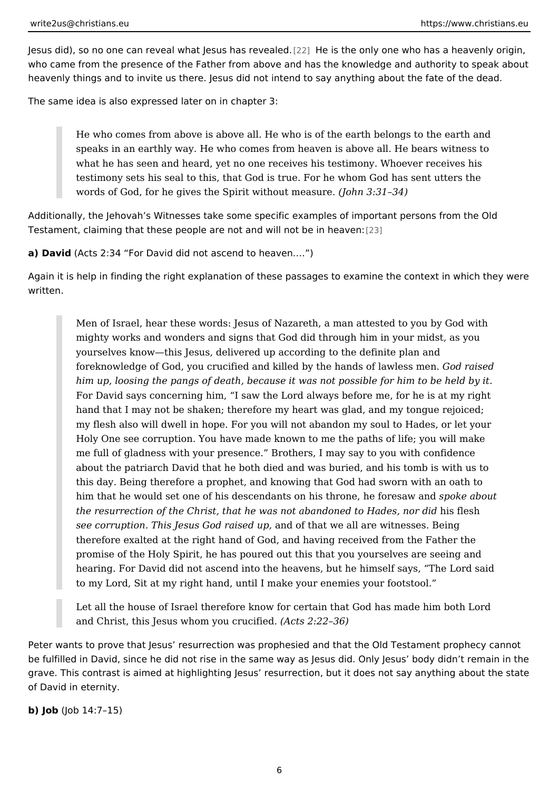J[esu](#page-9-0)s did), so no one can reveal what Jesus Hheass rehvee aolneldy one who has a heaven who came from the presence of the Father from above and has the knowledge and heavenly things and to invite us there. Jesus did not intend to say anything abor

The same idea is also expressed later on in chapter 3:

He who comes from above is above all. He who is of the earth belongs t speaks in an earthly way. He who comes from heaven is above all. He b what he has seen and heard, yet no one receives his testimony. Whoeve testimony sets his seal to this, that God is true. For he whom God has s words of God, for he gives the Spirit wi(thoohunt  $\theta$ n:  $\theta$ als  $\theta$   $\theta$ .

Additionally, the Jehovah s Witnesses take some specific examples of important Testament, claiming that these people are not and [will](#page-9-0) not be in heaven:

a) David Acts 2:34 For David did not ascend to heaven. & )

Again it is help in finding the right explanation of these passages to examine the written.

Men of Israel, hear these words: Jesus of Nazareth, a man attested to y mighty works and wonders and signs that God did through him in your m yourselves know this Jesus, delivered up according to the definite plan and foreknowledge of God, you crucified and killed by the heandd saised wless him up, loosing the pangs of death, because it was not possible for him For David says concerning him, I saw the Lord always before me, for he hand that I may not be shaken; therefore my heart was glad, and my ton my flesh also will dwell in hope. For you will not abandon my soul to Ha Holy One see corruption. You have made known to me the paths of life; me full of gladness with your presence. Brothers, I may say to you with about the patriarch David that he both died and was buried, and his tom this day. Being therefore a prophet, and knowing that God had sworn wi him that he would set one of his descendants on his therpoonlee, he bofuotresaw the resurrection of the Christ, that he was not abandon heid foe blades, nor see corruption. This Jesus God nroaios fed happ, we all are witnesses. Being therefore exalted at the right hand of God, and having received from the promise of the Holy Spirit, he has poured out this that you yourselves a hearing. For David did not ascend into the heavens, but he himself says to my Lord, Sit at my right hand, until I make your enemies your footstool.

Let all the house of Israel therefore know for certain that God has made and Christ, this Jesus whom  $y$   $q$  (A  $ctr$  2:12  $2d$  36)

Peter wants to prove that Jesus resurrection was prophesied and that the Old T be fulfilled in David, since he did not rise in the same way as Jesus did. Only Je grave. This contrast is aimed at highlighting Jesus resurrection, but it does not of David in eternity.

b)  $J \circ \phi \cup \phi$  14:7 15)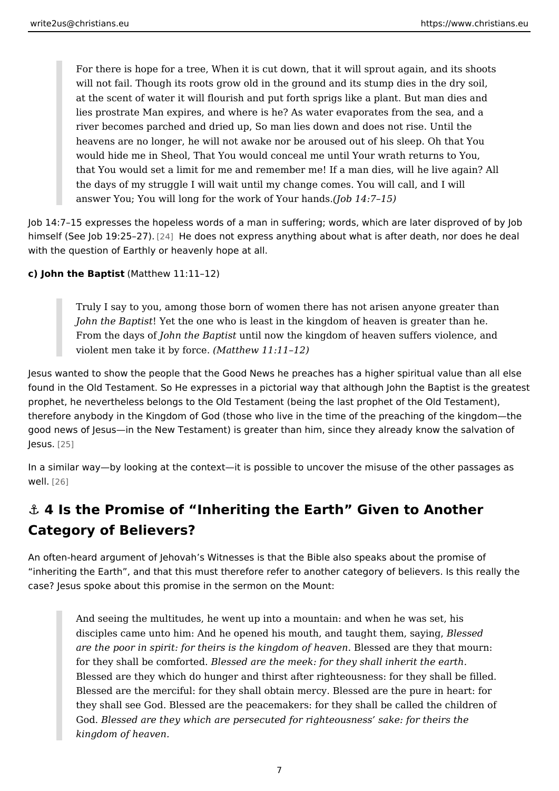<span id="page-6-0"></span>For there is hope for a tree, When it is cut down, that it will sprout aga will not fail. Though its roots grow old in the ground and its stump dies at the scent of water it will flourish and put forth sprigs like a plant. But lies prostrate Man expires, and where is he? As water evaporates from river becomes parched and dried up, So man lies down and does not ris heavens are no longer, he will not awake nor be aroused out of his slee would hide me in Sheol, That You would conceal me until Your wrath ret that You would set a limit for me and remember me! If a man dies, will I the days of my struggle I will wait until my change comes. You will call, answer You; You will long for the work  $(\phi \delta)$  of  $\phi$  and  $\phi$  is.

Job 14:7 15 expresses the hopeless words of a man in suffering; words, which are himself (See Job 19 $[24]$ 5  $[24]$  does not express anything about what is after death, no with the question of Earthly or heavenly hope at all.

c) John the Bap  $(k$  Msatthew 11:11 12)

Truly I say to you, among those born of women there has not arisen any John the Bab Met the one who is least in the kingdom of heaven is great From the day boh the Baptin stil now the kingdom of heaven suffers violene violent men take it b $M$ faotnt $\phi$ e. (Matthew 11:11 12)

Jesus wanted to show the people that the Good News he preaches has a higher s found in the Old Testament. So He expresses in a pictorial way that although Jo prophet, he nevertheless belongs to the Old Testament (being the last prophet o therefore anybody in the Kingdom of God (those who live in the time of the pread good news of Jesus in the New Testament) is greater than him, since they alread  $J e s u$  $2.5$ 

In a similar way by looking at the context it is possible to uncover the misuse of  $w$ ell $26$ 

# &" 4 Is the Promise of Inheriting the Earth Given to Another Category of Believers?

An often-heard argument of Jehovah s Witnesses is that the Bible also speaks al inheriting the Earth, and that this must therefore refer to another category of b case? Jesus spoke about this promise in the sermon on the Mount:

And seeing the multitudes, he went up into a mountain: and when he was disciples came unto him: And he opened his mouth, and Btlæus gletd them, sa are the poor in spirit: for theirs is the kin**g became endf anneea**  $\psi$  **be a**y that mourn: for they shall be comBfloemst send are the meek: for they shall inherit the ear Blessed are they which do hunger and thirst after righteousness: for the Blessed are the merciful: for they shall obtain mercy. Blessed are the p they shall see God. Blessed are the peacemakers: for they shall be call GodBlessed are they which are persecuted for righteousness sake: for kingdom of heaven.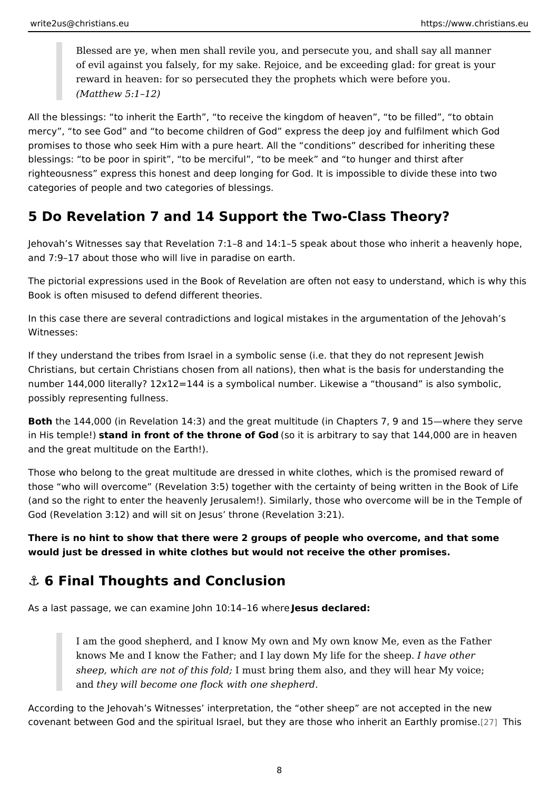<span id="page-7-0"></span>Blessed are ye, when men shall revile you, and  $\phi$  reashes a  $\psi$  eay to manner of evil against you falsely, for my sake. Rejoice, and be exceeding glad reward in heaven: for so persecuted they the prophets which were befor (Matthew 5:1 12)

All the blessings: to inherit the Earth, to receive the kingdom of heaven, to mercy, to see God and to become children of God express the deep joy and f promises to those who seek Him with a pure heart. All the conditions described blessings: to be poor in spirit, to be merciful, to be meek and to hunger an righteousness express this honest and deep longing for God. It is impossible to categories of people and two categories of blessings.

### 5 Do Revelation 7 and 14 Support the Two-Class Theory?

Jehovah s Witnesses say that Revelation 7:1 8 and 14:1 5 speak about those who and 7:9 17 about those who will live in paradise on earth.

The pictorial expressions used in the Book of Revelation are often not easy to u Book is often misused to defend different theories.

In this case there are several contradictions and logical mistakes in the argumentation of the  $\alpha$ Witnesses:

If they understand the tribes from Israel in a symbolic sense (i.e. that they do n Christians, but certain Christians chosen from all nations), then what is the bas number 144,000 literally?  $12x12=144$  is a symbolical number. Likewise a thousa possibly representing fullness.

Both the 144,000 (in Revelation 14:3) and the great multitude (in Chapters 7, 9 and 15 in His temps teal nd in front of the throne  $65$  oGid dis arbitrary to say that 144,000 are and the great multitude on the Earth!).

Those who belong to the great multitude are dressed in white clothes, which is t those who will overcome (Revelation 3:5) together with the certainty of being w (and so the right to enter the heavenly Jerusalem!). Similarly, those who overco God (Revelation 3:12) and will sit on Jesus throne (Revelation 3:21).

There is no hint to show that there were 2 groups of people who overcome, and t would just be dressed in white clothes but would not receive the other promises.

### &" 6 Final Thoughts and Conclusion

As a last passage, we can examine JohnJ e G uts4 d tenc lush neede

I am the good shepherd, and I know My own and My own know Me, even knows Me and I know the Father; and I lay down MyI lhite for the ersheep. sheep, which are not of thmisus folodring them also, and they will hear My vo and they will become one flock with one shepherd.

According to the Jehovah s Witnesses interpretation, the other sheep are not covenant between God and the spiritual Israel, but they are those wha in Theirst an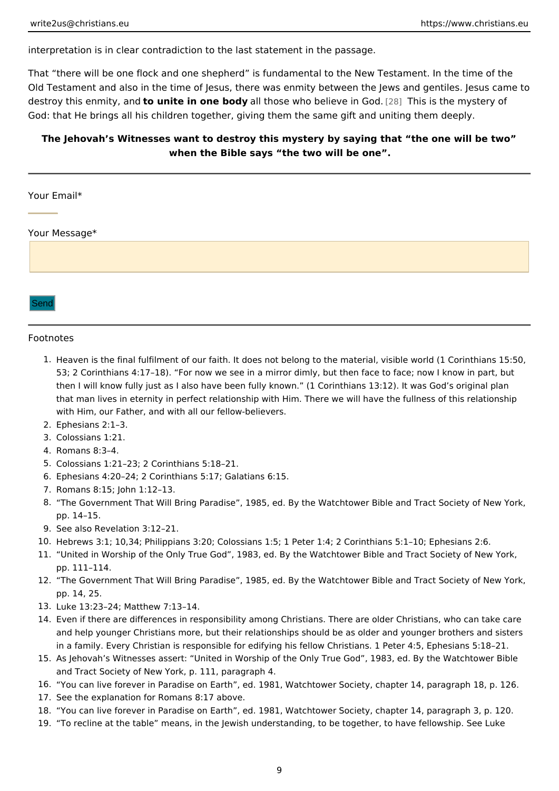<span id="page-8-0"></span>interpretation is in clear contradiction to the last statement in the passage.

That there will be one flock and one shepherd is fundamental to the New Testa Old Testament and also in the time of Jesus, there was enmity between the Jews destroy this enmitty, uamide in one badly those who believe  $2$  in Thos is the mystery of God: that He brings all his children together, giving them the same gift and unit

The Jehovah s Witnesses want to destroy this mystery by saying that the one when the Bible says the two will be one .

#### Your Email\*

Your Message\*

Send

#### Footnotes

- 1. Heaven is the final fulfilment of our faith. It does not belong to the material, visib 53; 2 Corinthians 4:17 18). For now we see in a mirror dimly, but then face to face then I will know fully just as I also have been fully known. (1 Corinthians 13:12). that man lives in eternity in perfect relationship with Him. There we will have the f with Him, our Father, and with all our fellow-believers.
- 2.Ephesians 2:1 3.
- 3.Colossians 1:21.
- 4.Romans 8:3 4.
- 5.Colossians 1:21 23; 2 Corinthians 5:18 21.
- 6.Ephesians 4:20 24; 2 Corinthians 5:17; Galatians 6:15.
- 7.Romans 8:15; John 1:12 13.
- 8. The Government That Will Bring Paradise, 1985, ed. By the Watchtower Bible and pp. 14 15.
- 9.See also Revelation 3:12 21.
- 10.Hebrews 3:1; 10,34; Philippians 3:20; Colossians 1:5; 1 Peter 1:4; 2 Corinthians 5:
- 11. United in Worship of the Only True God, 1983, ed. By the Watchtower Bible and T pp. 111 114.
- 12. The Government That Will Bring Paradise, 1985, ed. By the Watchtower Bible and pp. 14, 25.
- 13.Luke 13:23 24; Matthew 7:13 14.
- 14. Even if there are differences in responsibility among Christians. There are older C and help younger Christians more, but their relationships should be as older and y in a family. Every Christian is responsible for edifying his fellow Christians. 1 Pet
- 15.As Jehovah s Witnesses assert: United in Worship of the Only True God, 1983, ed and Tract Society of New York, p. 111, paragraph 4.
- 16. You can live forever in Paradise on Earth, ed. 1981, Watchtower Society, chapter 17.See the explanation for Romans 8:17 above.
- 18. You can live forever in Paradise on Earth, ed. 1981, Watchtower Society, chapter 19. To recline at the table means, in the Jewish understanding, to be together, to have